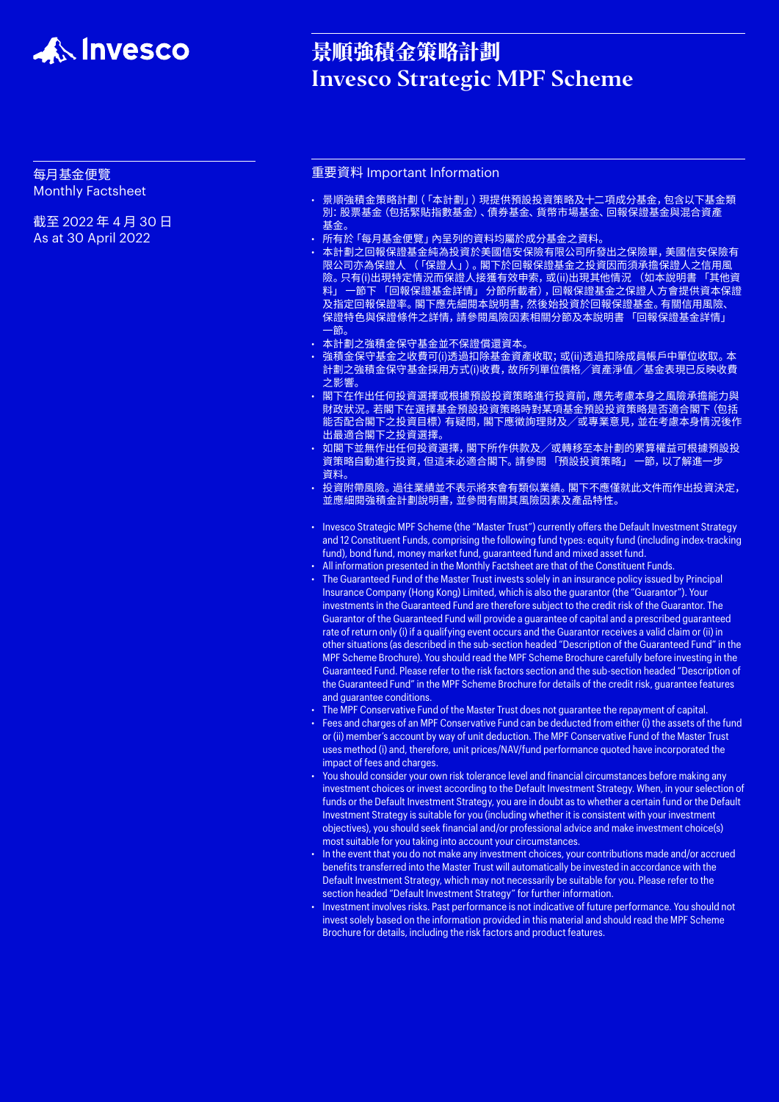

# 景順強積金策略計劃 Invesco Strategic MPF Scheme

## 每月基金便覽 Monthly Factsheet

截至 2022 年 4 月 30 日 As at 30 April 2022

## 重要資料 Important Information

- 景順強積金策略計劃(「本計劃」)現提供預設投資策略及十二項成分基金,包含以下基金類 別:股票基金(包括緊貼指數基金)、債券基金、貨幣市場基金、回報保證基金與混合資產 基金。
- 所有於「每月基金便覽」內呈列的資料均屬於成分基金之資料。
- • 本計劃之回報保證基金純為投資於美國信安保險有限公司所發出之保險單,美國信安保險有 限公司亦為保證人 (「保證人」)。閣下於回報保證基金之投資因而須承擔保證人之信用風 險。只有(i)出現特定情況而保證人接獲有效申索,或(ii)出現其他情況 (如本說明書 「其他資 料」 一節下 「回報保證基金詳情」 分節所載者),回報保證基金之保證人方會提供資本保證 及指定回報保證率。閣下應先細閱本說明書,然後始投資於回報保證基金。有關信用風險、 保證特色與保證條件之詳情,請參閱風險因素相關分節及本說明書 「回報保證基金詳情」 一節。
- • 本計劃之強積金保守基金並不保證償還資本。
- 強積金保守基金之收費可(i)透過扣除基金資產收取; 或(ii)透過扣除成員帳戶中單位收取。本 計劃之強積金保守基金採用方式(i)收費,故所列單位價格╱資產淨值╱基金表現已反映收費 之影響。
- • 閣下在作出任何投資選擇或根據預設投資策略進行投資前,應先考慮本身之風險承擔能力與 財政狀況。若閣下在選擇基金預設投資策略時對某項基金預設投資策略是否適合閣下(包括 能否配合閣下之投資目標)有疑問,閣下應徵詢理財及╱或專業意見,並在考慮本身情況後作 出最適合閣下之投資選擇。
- • 如閣下並無作出任何投資選擇,閣下所作供款及╱或轉移至本計劃的累算權益可根據預設投 資策略自動進行投資,但這未必適合閣下。請參閱 「預設投資策略」 一節,以了解進一步 資料。
- • 投資附帶風險。過往業績並不表示將來會有類似業績。閣下不應僅就此文件而作出投資決定, 並應細閱強積金計劃說明書,並參閱有關其風險因素及產品特性。
- Invesco Strategic MPF Scheme (the "Master Trust") currently offers the Default Investment Strategy and 12 Constituent Funds, comprising the following fund types: equity fund (including index-tracking fund), bond fund, money market fund, guaranteed fund and mixed asset fund.
- All information presented in the Monthly Factsheet are that of the Constituent Funds.
- The Guaranteed Fund of the Master Trust invests solely in an insurance policy issued by Principal Insurance Company (Hong Kong) Limited, which is also the guarantor (the "Guarantor"). Your investments in the Guaranteed Fund are therefore subject to the credit risk of the Guarantor. The Guarantor of the Guaranteed Fund will provide a guarantee of capital and a prescribed guaranteed rate of return only (i) if a qualifying event occurs and the Guarantor receives a valid claim or (ii) in other situations (as described in the sub-section headed "Description of the Guaranteed Fund" in the MPF Scheme Brochure). You should read the MPF Scheme Brochure carefully before investing in the Guaranteed Fund. Please refer to the risk factors section and the sub-section headed "Description of the Guaranteed Fund" in the MPF Scheme Brochure for details of the credit risk, guarantee features and guarantee conditions.
- The MPF Conservative Fund of the Master Trust does not guarantee the repayment of capital.
- Fees and charges of an MPF Conservative Fund can be deducted from either (i) the assets of the fund or (ii) member's account by way of unit deduction. The MPF Conservative Fund of the Master Trust uses method (i) and, therefore, unit prices/NAV/fund performance quoted have incorporated the impact of fees and charges.
- You should consider your own risk tolerance level and financial circumstances before making any investment choices or invest according to the Default Investment Strategy. When, in your selection of funds or the Default Investment Strategy, you are in doubt as to whether a certain fund or the Default Investment Strategy is suitable for you (including whether it is consistent with your investment objectives), you should seek financial and/or professional advice and make investment choice(s) most suitable for you taking into account your circumstances.
- In the event that you do not make any investment choices, your contributions made and/or accrued benefits transferred into the Master Trust will automatically be invested in accordance with the Default Investment Strategy, which may not necessarily be suitable for you. Please refer to the section headed "Default Investment Strategy" for further information.
- Investment involves risks. Past performance is not indicative of future performance. You should not invest solely based on the information provided in this material and should read the MPF Scheme Brochure for details, including the risk factors and product features.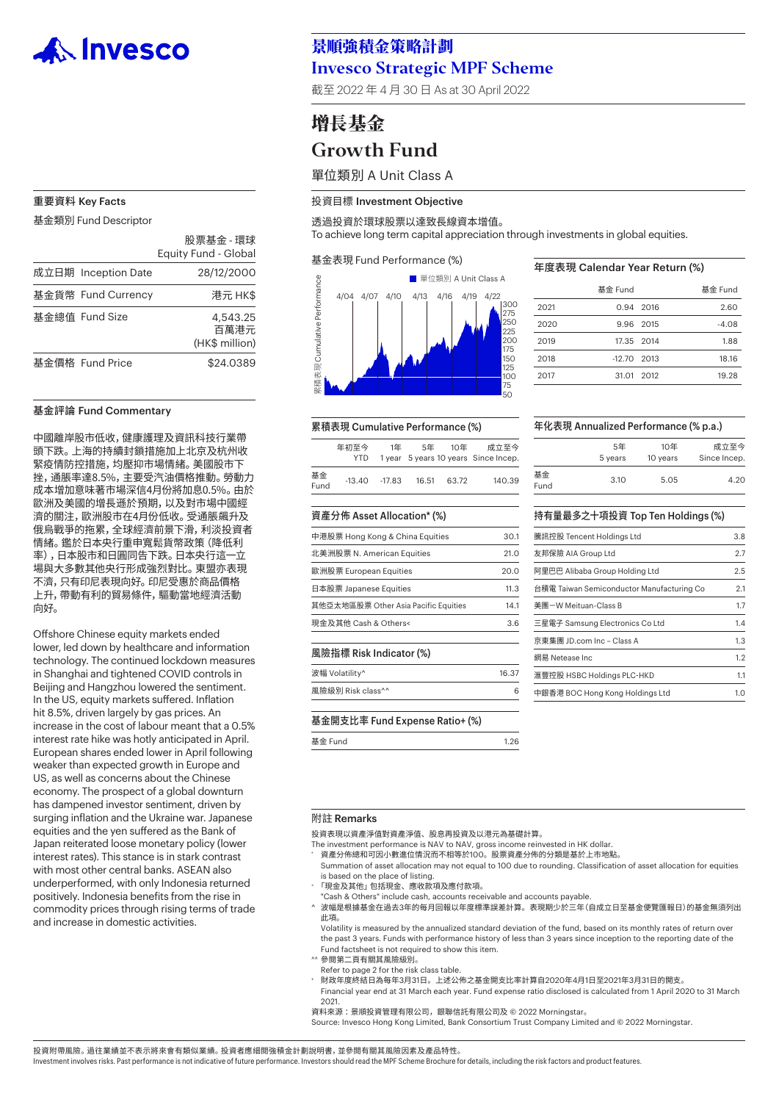

#### 重要資料 Key Facts

基金類別 Fund Descriptor

|                     | 股票基金 - 環球<br>Equity Fund - Global  |
|---------------------|------------------------------------|
| 成立日期 Inception Date | 28/12/2000                         |
| 基金貨幣 Fund Currency  | 港元 HK\$                            |
| 基金總值 Fund Size      | 4,543.25<br>百萬港元<br>(HK\$ million) |
| 基金價格 Fund Price     | \$24.0389                          |

#### 基金評論 Fund Commentary

中國離岸股市低收,健康護理及資訊科技行業帶 頭下跌。上海的持續封鎖措施加上北京及杭州收 緊疫情防控措施,均壓抑市場情緒。美國股市下 挫,通脹率達8.5%,主要受汽油價格推動。勞動力 成本增加意味著市場深信4月份將加息0.5%。由於 歐洲及美國的增長遜於預期,以及對市場中國經 濟的關注,歐洲股市在4月份低收。受通脹飆升及 俄烏戰爭的拖累,全球經濟前景下滑,利淡投資者 情緒。鑑於日本央行重申寬鬆貨幣政策(降低利 率),日本股市和日圓同告下跌。日本央行這一立 場與大多數其他央行形成強烈對比。東盟亦表現 不濟,只有印尼表現向好。印尼受惠於商品價格 上升,帶動有利的貿易條件,驅動當地經濟活動 向好。

Offshore Chinese equity markets ended lower, led down by healthcare and information technology. The continued lockdown measures in Shanghai and tightened COVID controls in Beijing and Hangzhou lowered the sentiment. In the US, equity markets suffered. Inflation hit 8.5%, driven largely by gas prices. An increase in the cost of labour meant that a 0.5% interest rate hike was hotly anticipated in April. European shares ended lower in April following weaker than expected growth in Europe and US, as well as concerns about the Chinese economy. The prospect of a global downturn has dampened investor sentiment, driven by surging inflation and the Ukraine war. Japanese equities and the yen suffered as the Bank of Japan reiterated loose monetary policy (lower interest rates). This stance is in stark contrast with most other central banks. ASEAN also underperformed, with only Indonesia returned positively. Indonesia benefits from the rise in commodity prices through rising terms of trade and increase in domestic activities.

# 景順強積金策略計劃 Invesco Strategic MPF Scheme

截至 2022 年 4 月 30 日 As at 30 April 2022

# 增長基金 Growth Fund

單位類別 A Unit Class A

#### 投資目標 Investment Objective

透過投資於環球股票以達致長線資本增值。

To achieve long term capital appreciation through investments in global equities.

#### 基金表現 Fund Performance (%)



## 年度表現 Calendar Year Return (%) 基金 Fund 基金 Fund

|      | 주호 Fullu      |           | 卒立 Fullu |
|------|---------------|-----------|----------|
| 2021 |               | 0.94 2016 | 2.60     |
| 2020 |               | 9.96 2015 | $-4.08$  |
| 2019 | 17.35 2014    |           | 1.88     |
| 2018 | $-12.70$ 2013 |           | 18.16    |
| 2017 | 31.01 2012    |           | 19.28    |

#### 累積表現 Cumulative Performance (%)

|            | 年初至今<br>YTD. | 1年     | 5年    | 10年   | 成立至今<br>1 year 5 years 10 years Since Incep. |
|------------|--------------|--------|-------|-------|----------------------------------------------|
| 基金<br>Fund | $-13.40$     | -17.83 | 16.51 | 63.72 | 140.39                                       |

#### 資產分佈 Asset Allocation\* (%)

| 中港股票 Hong Kong & China Equities      | 30 1 |
|--------------------------------------|------|
| 北美洲股票 N. American Equities           | 21.0 |
| 歐洲股票 European Equities               | 20.0 |
| 日本股票 Japanese Equities               | 11.3 |
| 其他亞太地區股票 Other Asia Pacific Equities | 141  |
| 現金及其他 Cash & Others<                 |      |
|                                      |      |

#### 風險指標 Risk Indicator (%)

#### 波幅 Volatility^ 16.37

#### 基金開支比率 Fund Expense Ratio+ (%)

基金 Fund 1.26

#### 年化表現 Annualized Performance (% p.a.)

|            | 5年      | 10年      | 成立至今         |
|------------|---------|----------|--------------|
|            | 5 years | 10 years | Since Incep. |
| 基金<br>Fund | 3.10    | 5.05     | 4.20         |

#### 持有量最多之十項投資 Top Ten Holdings (%)

| 3.8 |
|-----|
| 2.7 |
| 2.5 |
| 2.1 |
| 1.7 |
| 1.4 |
| 1.3 |
| 1.2 |
| 1.1 |
| 1.0 |
|     |

#### 附註 Remarks

投資表現以資產淨值對資產淨值、股息再投資及以港元為基礎計算。

The investment performance is NAV to NAV, gross income reinvested in HK dollar.

- 資產分佈總和可因小數進位情況而不相等於100。股票資產分佈的分類是基於上市地點。 Summation of asset allocation may not equal to 100 due to rounding. Classification of asset allocation for equities
- is based on the place of listing.
- <sup>&</sup>lt; 「現金及其他」包括現金、應收款項及應付款項。
- "Cash & Others" include cash, accounts receivable and accounts payable.
- ^ 波幅是根據基金在過去3年的每月回報以年度標準誤差計算。表現期少於三年(自成立日至基金便覽匯報日)的基金無須列出 此項。

 Volatility is measured by the annualized standard deviation of the fund, based on its monthly rates of return over the past 3 years. Funds with performance history of less than 3 years since inception to the reporting date of the Fund factsheet is not required to show this item.

- ^^ 參閱第二頁有關其風險級別。
- Refer to page 2 for the risk class table.
- <sup>+</sup> 財政年度終結日為每年3月31日。上述公佈之基金開支比率計算自2020年4月1日至2021年3月31日的開支。
	- Financial year end at 31 March each year. Fund expense ratio disclosed is calculated from 1 April 2020 to 31 March 2021.

資料來源 :景順投資管理有限公司,銀聯信託有限公司及 © 2022 Morningstar。

Source: Invesco Hong Kong Limited, Bank Consortium Trust Company Limited and © 2022 Morningstar.